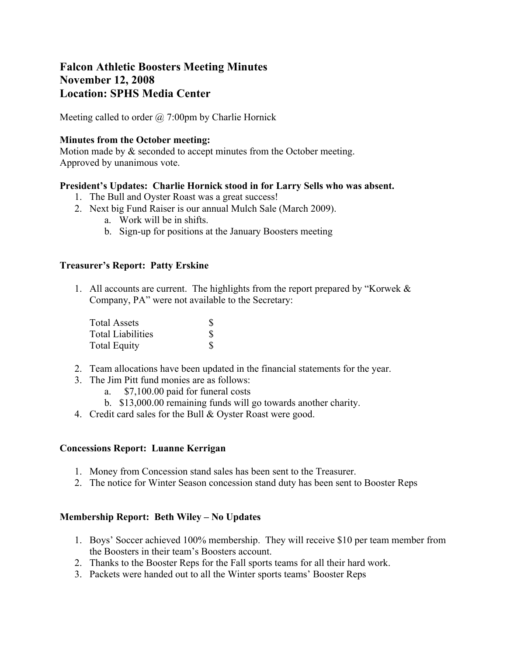# **Falcon Athletic Boosters Meeting Minutes November 12, 2008 Location: SPHS Media Center**

Meeting called to order  $\omega$  7:00pm by Charlie Hornick

## **Minutes from the October meeting:**

Motion made by & seconded to accept minutes from the October meeting. Approved by unanimous vote.

## **President's Updates: Charlie Hornick stood in for Larry Sells who was absent.**

- 1. The Bull and Oyster Roast was a great success!
- 2. Next big Fund Raiser is our annual Mulch Sale (March 2009).
	- a. Work will be in shifts.
	- b. Sign-up for positions at the January Boosters meeting

## **Treasurer's Report: Patty Erskine**

1. All accounts are current. The highlights from the report prepared by "Korwek & Company, PA" were not available to the Secretary:

| Total Assets             |    |
|--------------------------|----|
| <b>Total Liabilities</b> | S  |
| <b>Total Equity</b>      | S. |

- 2. Team allocations have been updated in the financial statements for the year.
- 3. The Jim Pitt fund monies are as follows:
	- a. \$7,100.00 paid for funeral costs
	- b. \$13,000.00 remaining funds will go towards another charity.
- 4. Credit card sales for the Bull & Oyster Roast were good.

#### **Concessions Report: Luanne Kerrigan**

- 1. Money from Concession stand sales has been sent to the Treasurer.
- 2. The notice for Winter Season concession stand duty has been sent to Booster Reps

# **Membership Report: Beth Wiley – No Updates**

- 1. Boys' Soccer achieved 100% membership. They will receive \$10 per team member from the Boosters in their team's Boosters account.
- 2. Thanks to the Booster Reps for the Fall sports teams for all their hard work.
- 3. Packets were handed out to all the Winter sports teams' Booster Reps